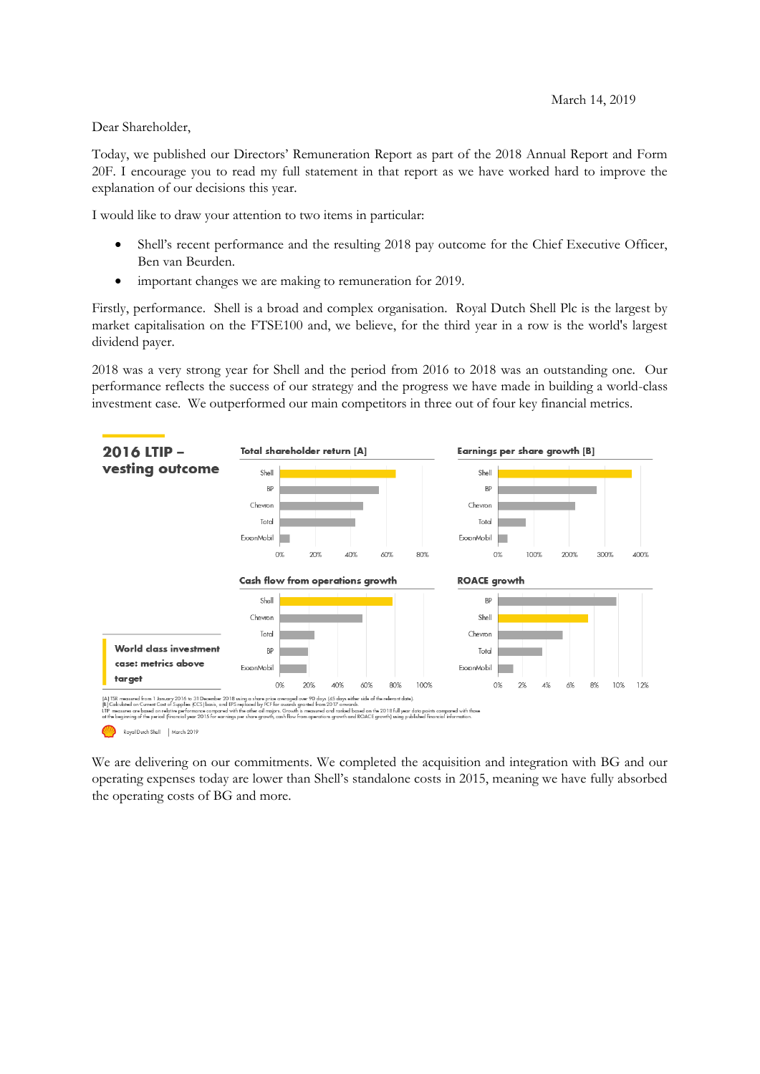Dear Shareholder,

Today, we published our Directors' Remuneration Report as part of the 2018 Annual Report and Form 20F. I encourage you to read my full statement in that report as we have worked hard to improve the explanation of our decisions this year.

I would like to draw your attention to two items in particular:

- Shell's recent performance and the resulting 2018 pay outcome for the Chief Executive Officer, Ben van Beurden.
- important changes we are making to remuneration for 2019.

Firstly, performance. Shell is a broad and complex organisation. Royal Dutch Shell Plc is the largest by market capitalisation on the FTSE100 and, we believe, for the third year in a row is the world's largest dividend payer.

2018 was a very strong year for Shell and the period from 2016 to 2018 was an outstanding one. Our performance reflects the success of our strategy and the progress we have made in building a world-class investment case. We outperformed our main competitors in three out of four key financial metrics.



Royal Dutch Shell | March 2019

We are delivering on our commitments. We completed the acquisition and integration with BG and our operating expenses today are lower than Shell's standalone costs in 2015, meaning we have fully absorbed the operating costs of BG and more.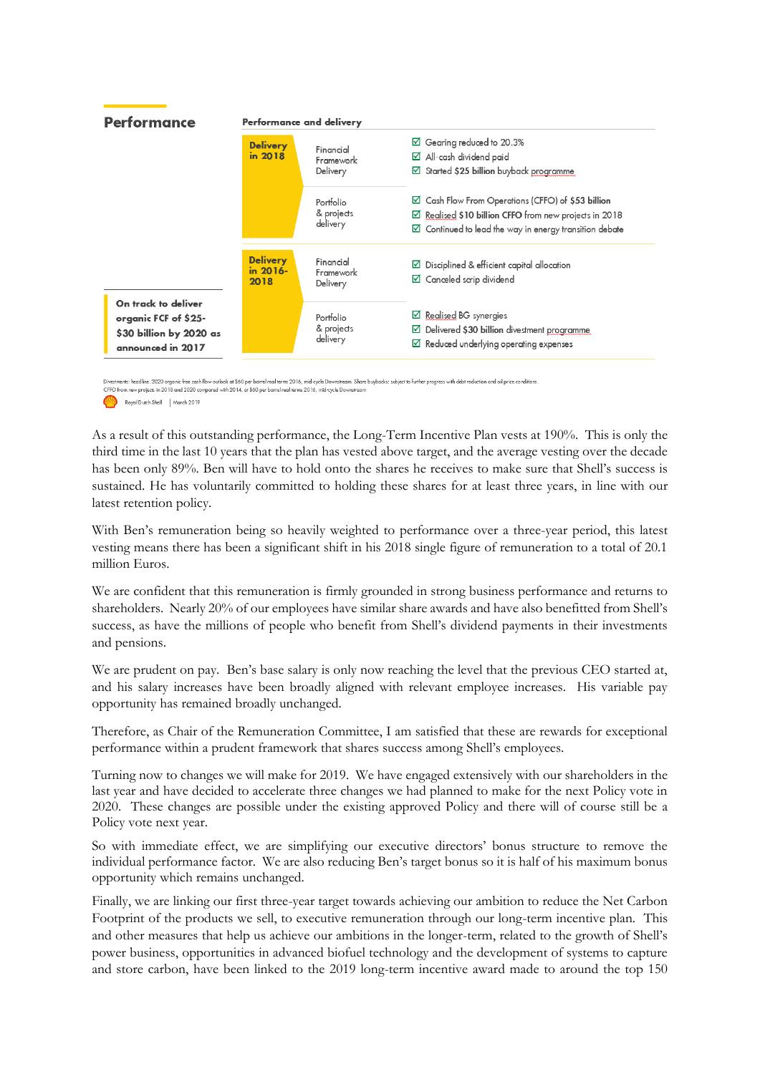

Divestments: headline. 2020 organic free cash flow outlook at \$60 per barrel real terms 2016, mid-cycle Downstream. Share buybacks: subject to further progress with debt reduction and oil price conditions<br>CFFO from new pro

Royal Dutch Shell | March 2019

As a result of this outstanding performance, the Long-Term Incentive Plan vests at 190%. This is only the third time in the last 10 years that the plan has vested above target, and the average vesting over the decade has been only 89%. Ben will have to hold onto the shares he receives to make sure that Shell's success is sustained. He has voluntarily committed to holding these shares for at least three years, in line with our latest retention policy.

With Ben's remuneration being so heavily weighted to performance over a three-year period, this latest vesting means there has been a significant shift in his 2018 single figure of remuneration to a total of 20.1 million Euros.

We are confident that this remuneration is firmly grounded in strong business performance and returns to shareholders. Nearly 20% of our employees have similar share awards and have also benefitted from Shell's success, as have the millions of people who benefit from Shell's dividend payments in their investments and pensions.

We are prudent on pay. Ben's base salary is only now reaching the level that the previous CEO started at, and his salary increases have been broadly aligned with relevant employee increases. His variable pay opportunity has remained broadly unchanged.

Therefore, as Chair of the Remuneration Committee, I am satisfied that these are rewards for exceptional performance within a prudent framework that shares success among Shell's employees.

Turning now to changes we will make for 2019. We have engaged extensively with our shareholders in the last year and have decided to accelerate three changes we had planned to make for the next Policy vote in 2020. These changes are possible under the existing approved Policy and there will of course still be a Policy vote next year.

So with immediate effect, we are simplifying our executive directors' bonus structure to remove the individual performance factor. We are also reducing Ben's target bonus so it is half of his maximum bonus opportunity which remains unchanged.

Finally, we are linking our first three-year target towards achieving our ambition to reduce the Net Carbon Footprint of the products we sell, to executive remuneration through our long-term incentive plan. This and other measures that help us achieve our ambitions in the longer-term, related to the growth of Shell's power business, opportunities in advanced biofuel technology and the development of systems to capture and store carbon, have been linked to the 2019 long-term incentive award made to around the top 150